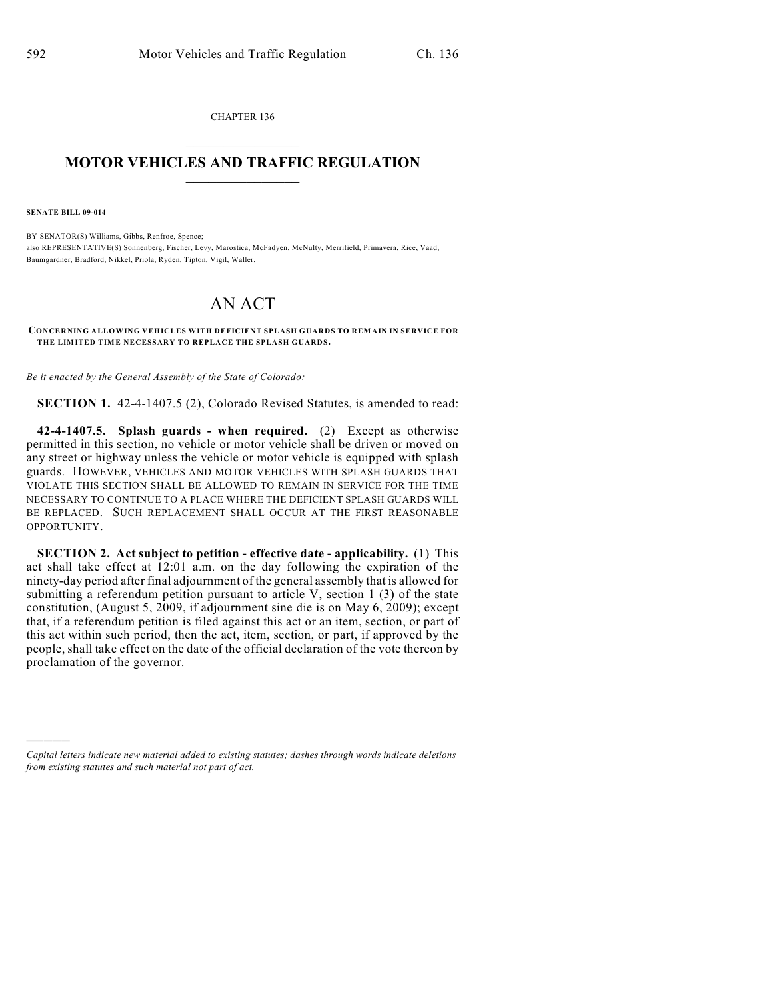CHAPTER 136  $\mathcal{L}_\text{max}$  . The set of the set of the set of the set of the set of the set of the set of the set of the set of the set of the set of the set of the set of the set of the set of the set of the set of the set of the set

## **MOTOR VEHICLES AND TRAFFIC REGULATION**  $\frac{1}{2}$  ,  $\frac{1}{2}$  ,  $\frac{1}{2}$  ,  $\frac{1}{2}$  ,  $\frac{1}{2}$  ,  $\frac{1}{2}$  ,  $\frac{1}{2}$  ,  $\frac{1}{2}$

**SENATE BILL 09-014**

)))))

BY SENATOR(S) Williams, Gibbs, Renfroe, Spence; also REPRESENTATIVE(S) Sonnenberg, Fischer, Levy, Marostica, McFadyen, McNulty, Merrifield, Primavera, Rice, Vaad, Baumgardner, Bradford, Nikkel, Priola, Ryden, Tipton, Vigil, Waller.

## AN ACT

## **CONCERNING ALLOWING VEHICLES WITH DEFICIENT SPLASH GUARDS TO REMAIN IN SERVICE FOR THE LIMITED TIME NECESSARY TO REPLACE THE SPLASH GUARDS.**

*Be it enacted by the General Assembly of the State of Colorado:*

**SECTION 1.** 42-4-1407.5 (2), Colorado Revised Statutes, is amended to read:

**42-4-1407.5. Splash guards - when required.** (2) Except as otherwise permitted in this section, no vehicle or motor vehicle shall be driven or moved on any street or highway unless the vehicle or motor vehicle is equipped with splash guards. HOWEVER, VEHICLES AND MOTOR VEHICLES WITH SPLASH GUARDS THAT VIOLATE THIS SECTION SHALL BE ALLOWED TO REMAIN IN SERVICE FOR THE TIME NECESSARY TO CONTINUE TO A PLACE WHERE THE DEFICIENT SPLASH GUARDS WILL BE REPLACED. SUCH REPLACEMENT SHALL OCCUR AT THE FIRST REASONABLE OPPORTUNITY.

**SECTION 2. Act subject to petition - effective date - applicability.** (1) This act shall take effect at 12:01 a.m. on the day following the expiration of the ninety-day period after final adjournment of the general assembly that is allowed for submitting a referendum petition pursuant to article V, section 1 (3) of the state constitution, (August 5, 2009, if adjournment sine die is on May 6, 2009); except that, if a referendum petition is filed against this act or an item, section, or part of this act within such period, then the act, item, section, or part, if approved by the people, shall take effect on the date of the official declaration of the vote thereon by proclamation of the governor.

*Capital letters indicate new material added to existing statutes; dashes through words indicate deletions from existing statutes and such material not part of act.*